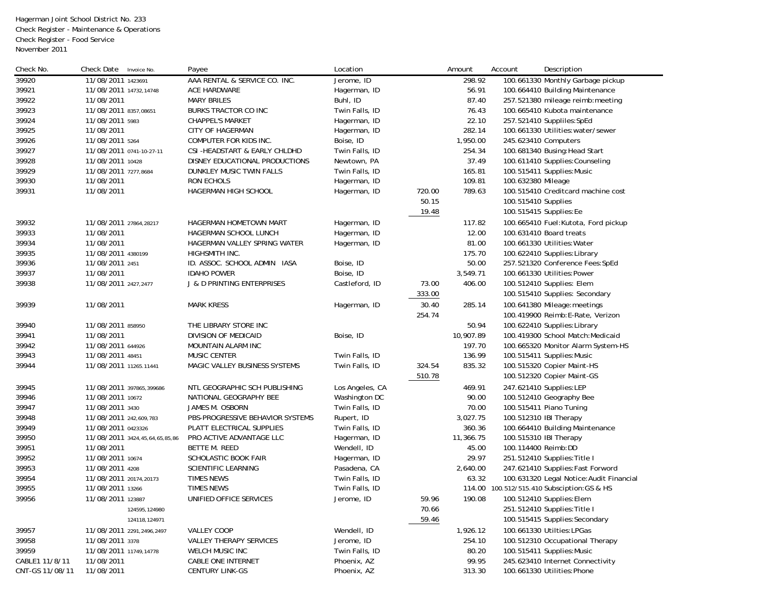Hagerman Joint School District No. 233 Check Register - Maintenance & Operations Check Register - Food Service November 2011

| Check No.       | Check Date<br>Invoice No.      | Payee                                 | Location        |        | Amount    | Account                | Description                                 |
|-----------------|--------------------------------|---------------------------------------|-----------------|--------|-----------|------------------------|---------------------------------------------|
| 39920           | 11/08/2011 1423691             | AAA RENTAL & SERVICE CO. INC.         | Jerome, ID      |        | 298.92    |                        | 100.661330 Monthly Garbage pickup           |
| 39921           | 11/08/2011 14732,14748         | ACE HARDWARE                          | Hagerman, ID    |        | 56.91     |                        | 100.664410 Building Maintenance             |
| 39922           | 11/08/2011                     | <b>MARY BRILES</b>                    | Buhl, ID        |        | 87.40     |                        | 257.521380 mileage reimb: meeting           |
| 39923           | 11/08/2011 8357,08651          | <b>BURKS TRACTOR CO INC</b>           | Twin Falls, ID  |        | 76.43     |                        | 100.665410 Kubota maintenance               |
| 39924           | 11/08/2011 5983                | <b>CHAPPEL'S MARKET</b>               | Hagerman, ID    |        | 22.10     |                        | 257.521410 Suppliles: SpEd                  |
| 39925           | 11/08/2011                     | CITY OF HAGERMAN                      | Hagerman, ID    |        | 282.14    |                        | 100.661330 Utilities: water/sewer           |
| 39926           | 11/08/2011 5264                | COMPUTER FOR KIDS INC.                | Boise, ID       |        | 1,950.00  | 245.623410 Computers   |                                             |
| 39927           | 11/08/2011 0741-10-27-11       | CSI-HEADSTART & EARLY CHLDHD          | Twin Falls, ID  |        | 254.34    |                        | 100.681340 Busing: Head Start               |
| 39928           | 11/08/2011 10428               | DISNEY EDUCATIONAL PRODUCTIONS        | Newtown, PA     |        | 37.49     |                        | 100.611410 Supplies: Counseling             |
| 39929           | 11/08/2011 7277,8684           | DUNKLEY MUSIC TWIN FALLS              | Twin Falls, ID  |        | 165.81    |                        | 100.515411 Supplies: Music                  |
| 39930           | 11/08/2011                     | RON ECHOLS                            | Hagerman, ID    |        | 109.81    | 100.632380 Mileage     |                                             |
| 39931           | 11/08/2011                     | HAGERMAN HIGH SCHOOL                  | Hagerman, ID    | 720.00 | 789.63    |                        | 100.515410 Creditcard machine cost          |
|                 |                                |                                       |                 | 50.15  |           | 100.515410 Supplies    |                                             |
|                 |                                |                                       |                 | 19.48  |           |                        | 100.515415 Supplies: Ee                     |
| 39932           | 11/08/2011 27864,28217         | HAGERMAN HOMETOWN MART                | Hagerman, ID    |        | 117.82    |                        | 100.665410 Fuel: Kutota, Ford pickup        |
| 39933           | 11/08/2011                     | HAGERMAN SCHOOL LUNCH                 | Hagerman, ID    |        | 12.00     |                        | 100.631410 Board treats                     |
| 39934           | 11/08/2011                     | HAGERMAN VALLEY SPRING WATER          | Hagerman, ID    |        | 81.00     |                        | 100.661330 Utilities: Water                 |
| 39935           | 11/08/2011 4380199             | HIGHSMITH INC.                        |                 |        | 175.70    |                        | 100.622410 Supplies: Library                |
| 39936           | 11/08/2011 2451                | ID. ASSOC. SCHOOL ADMIN IASA          | Boise, ID       |        | 50.00     |                        | 257.521320 Conference Fees: SpEd            |
| 39937           | 11/08/2011                     | <b>IDAHO POWER</b>                    | Boise, ID       |        | 3,549.71  |                        | 100.661330 Utilities:Power                  |
| 39938           | 11/08/2011 2427,2477           | <b>J &amp; D PRINTING ENTERPRISES</b> | Castleford, ID  | 73.00  | 406.00    |                        | 100.512410 Supplies: Elem                   |
|                 |                                |                                       |                 | 333.00 |           |                        | 100.515410 Supplies: Secondary              |
|                 |                                |                                       |                 |        |           |                        |                                             |
| 39939           | 11/08/2011                     | <b>MARK KRESS</b>                     | Hagerman, ID    | 30.40  | 285.14    |                        | 100.641380 Mileage: meetings                |
|                 |                                |                                       |                 | 254.74 |           |                        | 100.419900 Reimb: E-Rate, Verizon           |
| 39940           | 11/08/2011 858950              | THE LIBRARY STORE INC                 |                 |        | 50.94     |                        | 100.622410 Supplies: Library                |
| 39941           | 11/08/2011                     | DIVISION OF MEDICAID                  | Boise, ID       |        | 10,907.89 |                        | 100.419300 School Match: Medicaid           |
| 39942           | 11/08/2011 644926              | MOUNTAIN ALARM INC                    |                 |        | 197.70    |                        | 100.665320 Monitor Alarm System-HS          |
| 39943           | 11/08/2011 48451               | MUSIC CENTER                          | Twin Falls, ID  |        | 136.99    |                        | 100.515411 Supplies: Music                  |
| 39944           | 11/08/2011 11265.11441         | MAGIC VALLEY BUSINESS SYSTEMS         | Twin Falls, ID  | 324.54 | 835.32    |                        | 100.515320 Copier Maint-HS                  |
|                 |                                |                                       |                 | 510.78 |           |                        | 100.512320 Copier Maint-GS                  |
| 39945           | 11/08/2011 397865,399686       | NTL GEOGRAPHIC SCH PUBLISHING         | Los Angeles, CA |        | 469.91    |                        | 247.621410 Supplies: LEP                    |
| 39946           | 11/08/2011 10672               | NATIONAL GEOGRAPHY BEE                | Washington DC   |        | 90.00     |                        | 100.512410 Geography Bee                    |
| 39947           | 11/08/2011 3430                | JAMES M. OSBORN                       | Twin Falls, ID  |        | 70.00     |                        | 100.515411 Piano Tuning                     |
| 39948           | 11/08/2011 242,609,783         | PBS-PROGRESSIVE BEHAVIOR SYSTEMS      | Rupert, ID      |        | 3,027.75  |                        | 100.512310 IBI Therapy                      |
| 39949           | 11/08/2011 0423326             | PLATT ELECTRICAL SUPPLIES             | Twin Falls, ID  |        | 360.36    |                        | 100.664410 Building Maintenance             |
| 39950           | 11/08/2011 3424,45,64,65,85,86 | PRO ACTIVE ADVANTAGE LLC              | Hagerman, ID    |        | 11,366.75 | 100.515310 IBI Therapy |                                             |
| 39951           | 11/08/2011                     | BETTE M. REED                         | Wendell, ID     |        | 45.00     | 100.114400 Reimb:DD    |                                             |
| 39952           | 11/08/2011 10674               | SCHOLASTIC BOOK FAIR                  | Hagerman, ID    |        | 29.97     |                        | 251.512410 Supplies: Title I                |
| 39953           | 11/08/2011 4208                | SCIENTIFIC LEARNING                   | Pasadena, CA    |        | 2,640.00  |                        | 247.621410 Supplies: Fast Forword           |
| 39954           | 11/08/2011 20174,20173         | <b>TIMES NEWS</b>                     | Twin Falls, ID  |        | 63.32     |                        | 100.631320 Legal Notice: Audit Financial    |
| 39955           | 11/08/2011 13266               | <b>TIMES NEWS</b>                     | Twin Falls, ID  |        |           |                        | 114.00 100.512/515.410 Subsciption: GS & HS |
| 39956           | 11/08/2011 123887              | UNIFIED OFFICE SERVICES               | Jerome, ID      | 59.96  | 190.08    |                        | 100.512410 Supplies: Elem                   |
|                 | 124595,124980                  |                                       |                 | 70.66  |           |                        | 251.512410 Supplies: Title I                |
|                 | 124118, 124971                 |                                       |                 | 59.46  |           |                        | 100.515415 Supplies: Secondary              |
| 39957           | 11/08/2011 2291,2496,2497      | <b>VALLEY COOP</b>                    | Wendell, ID     |        | 1,926.12  |                        | 100.661330 Utilties: LPGas                  |
| 39958           | 11/08/2011 3378                | <b>VALLEY THERAPY SERVICES</b>        | Jerome, ID      |        | 254.10    |                        | 100.512310 Occupational Therapy             |
| 39959           | 11/08/2011 11749,14778         | WELCH MUSIC INC                       | Twin Falls, ID  |        | 80.20     |                        | 100.515411 Supplies: Music                  |
| CABLE1 11/8/11  | 11/08/2011                     | CABLE ONE INTERNET                    | Phoenix, AZ     |        | 99.95     |                        | 245.623410 Internet Connectivity            |
| CNT-GS 11/08/11 | 11/08/2011                     | <b>CENTURY LINK-GS</b>                | Phoenix, AZ     |        | 313.30    |                        | 100.661330 Utilities: Phone                 |